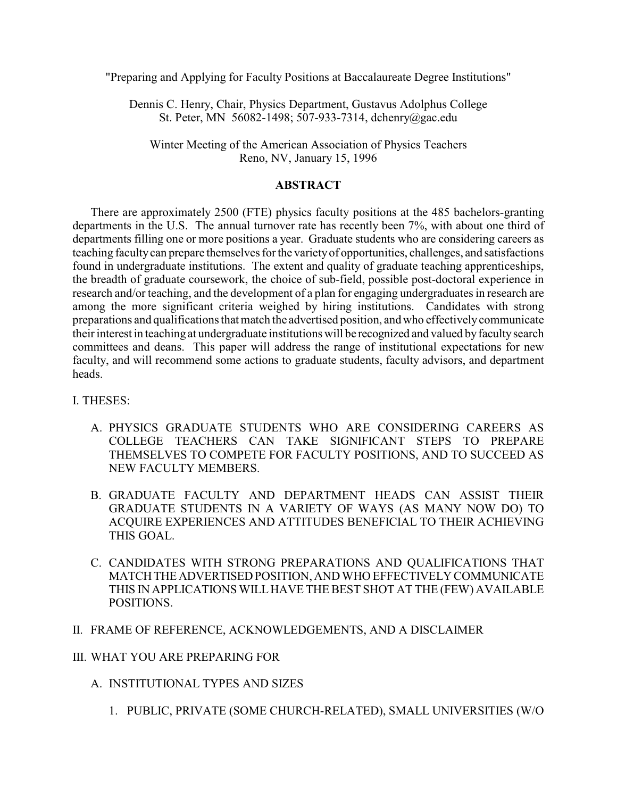"Preparing and Applying for Faculty Positions at Baccalaureate Degree Institutions"

Dennis C. Henry, Chair, Physics Department, Gustavus Adolphus College St. Peter, MN 56082-1498; 507-933-7314, dchenry@gac.edu

Winter Meeting of the American Association of Physics Teachers Reno, NV, January 15, 1996

## **ABSTRACT**

There are approximately 2500 (FTE) physics faculty positions at the 485 bachelors-granting departments in the U.S. The annual turnover rate has recently been 7%, with about one third of departments filling one or more positions a year. Graduate students who are considering careers as teaching faculty can prepare themselves for the variety of opportunities, challenges, and satisfactions found in undergraduate institutions. The extent and quality of graduate teaching apprenticeships, the breadth of graduate coursework, the choice of sub-field, possible post-doctoral experience in research and/or teaching, and the development of a plan for engaging undergraduates in research are among the more significant criteria weighed by hiring institutions. Candidates with strong preparations and qualificationsthat match the advertised position, and who effectively communicate their interest in teaching at undergraduate institutions will be recognized and valued by faculty search committees and deans. This paper will address the range of institutional expectations for new faculty, and will recommend some actions to graduate students, faculty advisors, and department heads.

## I. THESES:

- A. PHYSICS GRADUATE STUDENTS WHO ARE CONSIDERING CAREERS AS COLLEGE TEACHERS CAN TAKE SIGNIFICANT STEPS TO PREPARE THEMSELVES TO COMPETE FOR FACULTY POSITIONS, AND TO SUCCEED AS NEW FACULTY MEMBERS.
- B. GRADUATE FACULTY AND DEPARTMENT HEADS CAN ASSIST THEIR GRADUATE STUDENTS IN A VARIETY OF WAYS (AS MANY NOW DO) TO ACQUIRE EXPERIENCES AND ATTITUDES BENEFICIAL TO THEIR ACHIEVING THIS GOAL.
- C. CANDIDATES WITH STRONG PREPARATIONS AND QUALIFICATIONS THAT MATCH THE ADVERTISED POSITION, AND WHO EFFECTIVELY COMMUNICATE THIS IN APPLICATIONS WILL HAVE THE BEST SHOT AT THE (FEW) AVAILABLE POSITIONS.

## II. FRAME OF REFERENCE, ACKNOWLEDGEMENTS, AND A DISCLAIMER

## III. WHAT YOU ARE PREPARING FOR

- A. INSTITUTIONAL TYPES AND SIZES
	- 1. PUBLIC, PRIVATE (SOME CHURCH-RELATED), SMALL UNIVERSITIES (W/O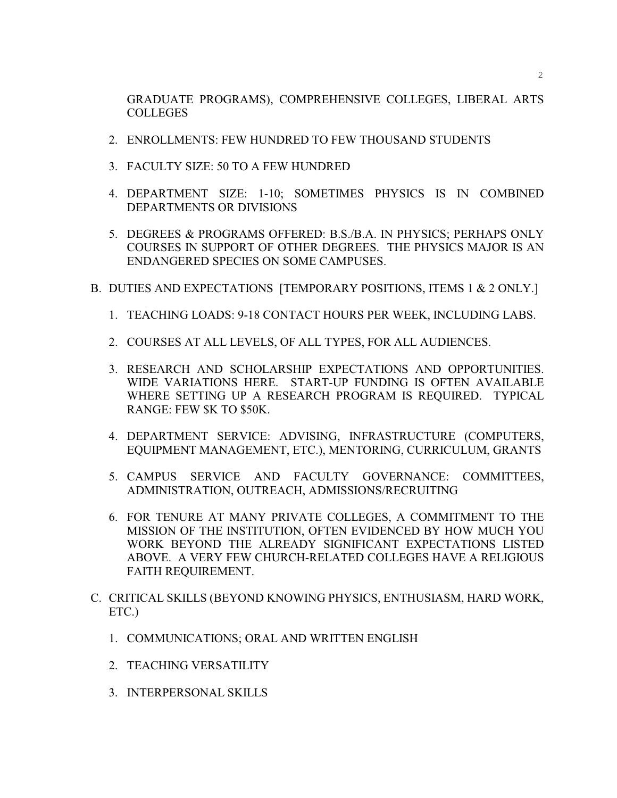GRADUATE PROGRAMS), COMPREHENSIVE COLLEGES, LIBERAL ARTS COLLEGES

- 2. ENROLLMENTS: FEW HUNDRED TO FEW THOUSAND STUDENTS
- 3. FACULTY SIZE: 50 TO A FEW HUNDRED
- 4. DEPARTMENT SIZE: 1-10; SOMETIMES PHYSICS IS IN COMBINED DEPARTMENTS OR DIVISIONS
- 5. DEGREES & PROGRAMS OFFERED: B.S./B.A. IN PHYSICS; PERHAPS ONLY COURSES IN SUPPORT OF OTHER DEGREES. THE PHYSICS MAJOR IS AN ENDANGERED SPECIES ON SOME CAMPUSES.
- B. DUTIES AND EXPECTATIONS [TEMPORARY POSITIONS, ITEMS 1 & 2 ONLY.]
	- 1. TEACHING LOADS: 9-18 CONTACT HOURS PER WEEK, INCLUDING LABS.
	- 2. COURSES AT ALL LEVELS, OF ALL TYPES, FOR ALL AUDIENCES.
	- 3. RESEARCH AND SCHOLARSHIP EXPECTATIONS AND OPPORTUNITIES. WIDE VARIATIONS HERE. START-UP FUNDING IS OFTEN AVAILABLE WHERE SETTING UP A RESEARCH PROGRAM IS REQUIRED. TYPICAL RANGE: FEW \$K TO \$50K.
	- 4. DEPARTMENT SERVICE: ADVISING, INFRASTRUCTURE (COMPUTERS, EQUIPMENT MANAGEMENT, ETC.), MENTORING, CURRICULUM, GRANTS
	- 5. CAMPUS SERVICE AND FACULTY GOVERNANCE: COMMITTEES, ADMINISTRATION, OUTREACH, ADMISSIONS/RECRUITING
	- 6. FOR TENURE AT MANY PRIVATE COLLEGES, A COMMITMENT TO THE MISSION OF THE INSTITUTION, OFTEN EVIDENCED BY HOW MUCH YOU WORK BEYOND THE ALREADY SIGNIFICANT EXPECTATIONS LISTED ABOVE. A VERY FEW CHURCH-RELATED COLLEGES HAVE A RELIGIOUS FAITH REQUIREMENT.
- C. CRITICAL SKILLS (BEYOND KNOWING PHYSICS, ENTHUSIASM, HARD WORK, ETC.)
	- 1. COMMUNICATIONS; ORAL AND WRITTEN ENGLISH
	- 2. TEACHING VERSATILITY
	- 3. INTERPERSONAL SKILLS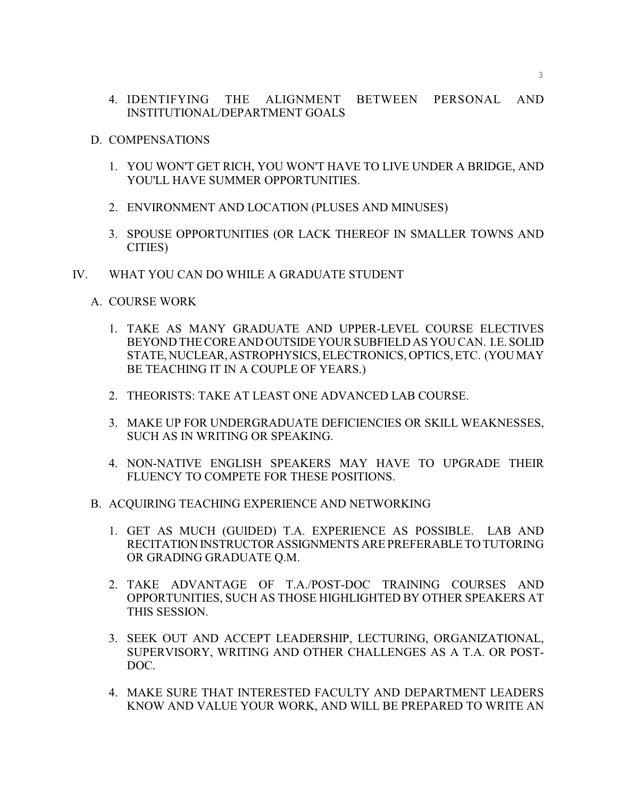- 4. IDENTIFYING THE ALIGNMENT BETWEEN PERSONAL AND INSTITUTIONAL/DEPARTMENT GOALS
- D. COMPENSATIONS
	- 1. YOU WON'T GET RICH, YOU WON'T HAVE TO LIVE UNDER A BRIDGE, AND YOU'LL HAVE SUMMER OPPORTUNITIES.
	- 2. ENVIRONMENT AND LOCATION (PLUSES AND MINUSES)
	- 3. SPOUSE OPPORTUNITIES (OR LACK THEREOF IN SMALLER TOWNS AND CITIES)
- IV. WHAT YOU CAN DO WHILE A GRADUATE STUDENT
	- A. COURSE WORK
		- 1. TAKE AS MANY GRADUATE AND UPPER-LEVEL COURSE ELECTIVES BEYOND THE CORE AND OUTSIDE YOUR SUBFIELD AS YOU CAN. I.E. SOLID STATE, NUCLEAR, ASTROPHYSICS, ELECTRONICS, OPTICS, ETC. (YOU MAY BE TEACHING IT IN A COUPLE OF YEARS.)
		- 2. THEORISTS: TAKE AT LEAST ONE ADVANCED LAB COURSE.
		- 3. MAKE UP FOR UNDERGRADUATE DEFICIENCIES OR SKILL WEAKNESSES, SUCH AS IN WRITING OR SPEAKING.
		- 4. NON-NATIVE ENGLISH SPEAKERS MAY HAVE TO UPGRADE THEIR FLUENCY TO COMPETE FOR THESE POSITIONS.
	- B. ACQUIRING TEACHING EXPERIENCE AND NETWORKING
		- 1. GET AS MUCH (GUIDED) T.A. EXPERIENCE AS POSSIBLE. LAB AND RECITATION INSTRUCTOR ASSIGNMENTS ARE PREFERABLE TO TUTORING OR GRADING GRADUATE Q.M.
		- 2. TAKE ADVANTAGE OF T.A./POST-DOC TRAINING COURSES AND OPPORTUNITIES, SUCH AS THOSE HIGHLIGHTED BY OTHER SPEAKERS AT THIS SESSION.
		- 3. SEEK OUT AND ACCEPT LEADERSHIP, LECTURING, ORGANIZATIONAL, SUPERVISORY, WRITING AND OTHER CHALLENGES AS A T.A. OR POST-DOC.
		- 4. MAKE SURE THAT INTERESTED FACULTY AND DEPARTMENT LEADERS KNOW AND VALUE YOUR WORK, AND WILL BE PREPARED TO WRITE AN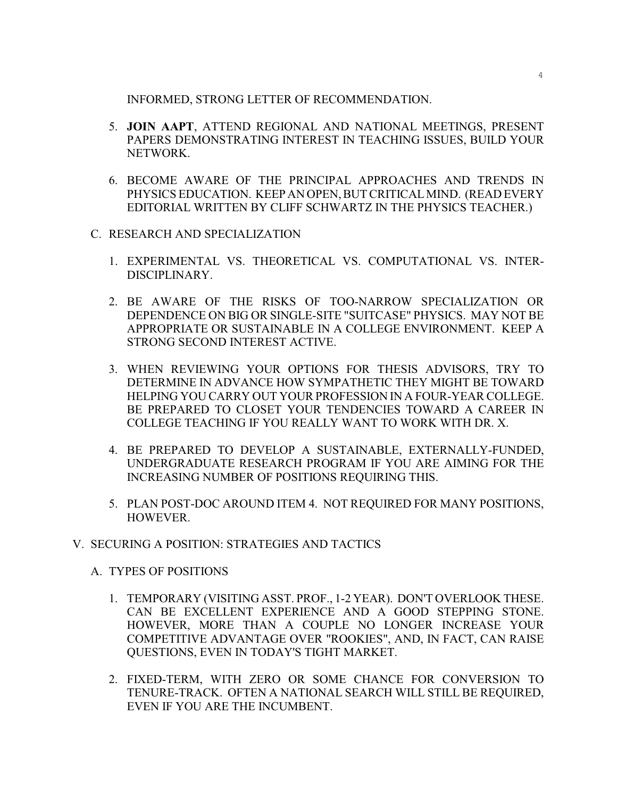INFORMED, STRONG LETTER OF RECOMMENDATION.

- 5. **JOIN AAPT**, ATTEND REGIONAL AND NATIONAL MEETINGS, PRESENT PAPERS DEMONSTRATING INTEREST IN TEACHING ISSUES, BUILD YOUR NETWORK.
- 6. BECOME AWARE OF THE PRINCIPAL APPROACHES AND TRENDS IN PHYSICS EDUCATION. KEEP ANOPEN, BUT CRITICAL MIND. (READ EVERY EDITORIAL WRITTEN BY CLIFF SCHWARTZ IN THE PHYSICS TEACHER.)
- C. RESEARCH AND SPECIALIZATION
	- 1. EXPERIMENTAL VS. THEORETICAL VS. COMPUTATIONAL VS. INTER-DISCIPLINARY.
	- 2. BE AWARE OF THE RISKS OF TOO-NARROW SPECIALIZATION OR DEPENDENCE ON BIG OR SINGLE-SITE "SUITCASE" PHYSICS. MAY NOT BE APPROPRIATE OR SUSTAINABLE IN A COLLEGE ENVIRONMENT. KEEP A STRONG SECOND INTEREST ACTIVE.
	- 3. WHEN REVIEWING YOUR OPTIONS FOR THESIS ADVISORS, TRY TO DETERMINE IN ADVANCE HOW SYMPATHETIC THEY MIGHT BE TOWARD HELPING YOU CARRY OUT YOUR PROFESSION IN A FOUR-YEAR COLLEGE. BE PREPARED TO CLOSET YOUR TENDENCIES TOWARD A CAREER IN COLLEGE TEACHING IF YOU REALLY WANT TO WORK WITH DR. X.
	- 4. BE PREPARED TO DEVELOP A SUSTAINABLE, EXTERNALLY-FUNDED, UNDERGRADUATE RESEARCH PROGRAM IF YOU ARE AIMING FOR THE INCREASING NUMBER OF POSITIONS REQUIRING THIS.
	- 5. PLAN POST-DOC AROUND ITEM 4. NOT REQUIRED FOR MANY POSITIONS, HOWEVER.
- V. SECURING A POSITION: STRATEGIES AND TACTICS
	- A. TYPES OF POSITIONS
		- 1. TEMPORARY (VISITING ASST. PROF., 1-2 YEAR). DON'T OVERLOOK THESE. CAN BE EXCELLENT EXPERIENCE AND A GOOD STEPPING STONE. HOWEVER, MORE THAN A COUPLE NO LONGER INCREASE YOUR COMPETITIVE ADVANTAGE OVER "ROOKIES", AND, IN FACT, CAN RAISE QUESTIONS, EVEN IN TODAY'S TIGHT MARKET.
		- 2. FIXED-TERM, WITH ZERO OR SOME CHANCE FOR CONVERSION TO TENURE-TRACK. OFTEN A NATIONAL SEARCH WILL STILL BE REQUIRED, EVEN IF YOU ARE THE INCUMBENT.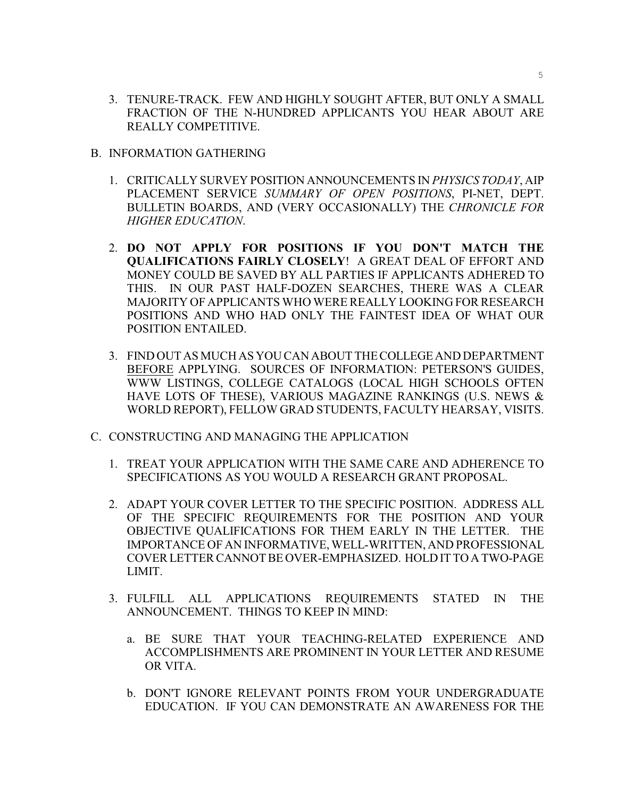- 3. TENURE-TRACK. FEW AND HIGHLY SOUGHT AFTER, BUT ONLY A SMALL FRACTION OF THE N-HUNDRED APPLICANTS YOU HEAR ABOUT ARE REALLY COMPETITIVE.
- B. INFORMATION GATHERING
	- 1. CRITICALLY SURVEY POSITION ANNOUNCEMENTS IN *PHYSICS TODAY*, AIP PLACEMENT SERVICE *SUMMARY OF OPEN POSITIONS*, PI-NET, DEPT. BULLETIN BOARDS, AND (VERY OCCASIONALLY) THE *CHRONICLE FOR HIGHER EDUCATION*.
	- 2. **DO NOT APPLY FOR POSITIONS IF YOU DON'T MATCH THE QUALIFICATIONS FAIRLY CLOSELY**! A GREAT DEAL OF EFFORT AND MONEY COULD BE SAVED BY ALL PARTIES IF APPLICANTS ADHERED TO THIS. IN OUR PAST HALF-DOZEN SEARCHES, THERE WAS A CLEAR MAJORITY OF APPLICANTS WHO WERE REALLY LOOKING FOR RESEARCH POSITIONS AND WHO HAD ONLY THE FAINTEST IDEA OF WHAT OUR POSITION ENTAILED.
	- 3. FIND OUT AS MUCH AS YOU CAN ABOUT THE COLLEGE AND DEPARTMENT BEFORE APPLYING. SOURCES OF INFORMATION: PETERSON'S GUIDES, WWW LISTINGS, COLLEGE CATALOGS (LOCAL HIGH SCHOOLS OFTEN HAVE LOTS OF THESE), VARIOUS MAGAZINE RANKINGS (U.S. NEWS & WORLD REPORT), FELLOW GRAD STUDENTS, FACULTY HEARSAY, VISITS.
- C. CONSTRUCTING AND MANAGING THE APPLICATION
	- 1. TREAT YOUR APPLICATION WITH THE SAME CARE AND ADHERENCE TO SPECIFICATIONS AS YOU WOULD A RESEARCH GRANT PROPOSAL.
	- 2. ADAPT YOUR COVER LETTER TO THE SPECIFIC POSITION. ADDRESS ALL OF THE SPECIFIC REQUIREMENTS FOR THE POSITION AND YOUR OBJECTIVE QUALIFICATIONS FOR THEM EARLY IN THE LETTER. THE IMPORTANCE OF AN INFORMATIVE, WELL-WRITTEN, AND PROFESSIONAL COVER LETTER CANNOT BE OVER-EMPHASIZED. HOLD IT TO A TWO-PAGE LIMIT.
	- 3. FULFILL ALL APPLICATIONS REQUIREMENTS STATED IN THE ANNOUNCEMENT. THINGS TO KEEP IN MIND:
		- a. BE SURE THAT YOUR TEACHING-RELATED EXPERIENCE AND ACCOMPLISHMENTS ARE PROMINENT IN YOUR LETTER AND RESUME OR VITA.
		- b. DON'T IGNORE RELEVANT POINTS FROM YOUR UNDERGRADUATE EDUCATION. IF YOU CAN DEMONSTRATE AN AWARENESS FOR THE